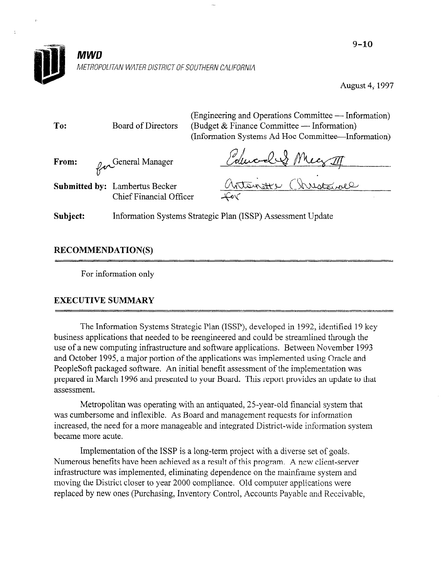

August 4, 1997

| To:      | Board of Directors                                               | (Engineering and Operations Committee — Information)<br>(Budget & Finance Committee — Information)<br>(Information Systems Ad Hoc Committee—Information) |  |  |  |
|----------|------------------------------------------------------------------|----------------------------------------------------------------------------------------------------------------------------------------------------------|--|--|--|
| From:    | for General Manager                                              | Edward & Meg II                                                                                                                                          |  |  |  |
|          | <b>Submitted by:</b> Lambertus Becker<br>Chief Financial Officer | Antonate Christouvel<br>Lov                                                                                                                              |  |  |  |
| Subject: |                                                                  | Information Systems Strategic Plan (ISSP) Assessment Update                                                                                              |  |  |  |

# RECOMMENDATION(S)

For information only

## EXECUTIVE SUMMARY

The Information Systems Strategic Plan (ISSP), developed in 1992, identified 19 key business applications that needed to be reengineered and could be streamlined through the. use of a new computing infrastructure and software applications. Between November 1993 and October 1995, a major portion of the applications was impiememed using Oracle and PeopleSoft packaged software. An initial benefit assessment of the implementation was prepared in March 1996 and presented to your Board. This report provides an update to that assessment.

Metropolitan was operating with an antiquated, 25-year-old financial system that was cumbersome and inflexible. As Board and management requests for information increased, the need for a more manageable and integrated District-wide information system became more acute.

Implementation of the ISSP is a long-term project with a diverse set of goals. Numerous benefits have been achieved as a result of this program. A new client-server infrastructure was implemented, eliminating dependence on the mainframe system and moving the District closer to year 2000 compliance. Old computer applications were replaced by new ones (Purchasing, Inventory Control, Accounts Payable and Receivable,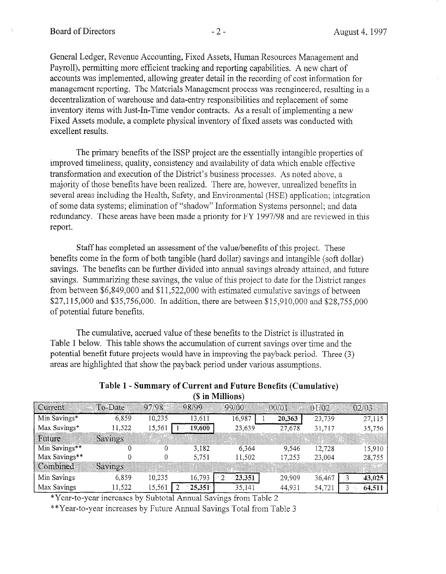General Ledger, Revenue Accounting, Fixed Assets, Human Resources Management and Payroll), permitting more efficient tracking and reporting capabilities. A new chart of accounts was implemented, allowing greater detail in the recording of cost information for management reporting. The Materials Management process was reengineered, resulting in a decentralization of warehouse and data-entry responsibilities and replacement of some inventory items with Just-In-Time vendor contracts. As a result of implementing a new Fixed Assets module, a complete physical inventory of fixed assets was conducted with excellent results.

The primary benefits of the ISSP project are the essentially intangible properties of improved timeliness, quality, consistency and availability of data which enable effective transformation and execution of the District's business processes. As noted above, a majority of those benefits have been realized. There are, however, unrealized benefits in several areas including the Health, Safety, and Enviromnental (HSE) application; integration of some data systems; elimination of "shadow" Information Systems personnel; and data redundancy. These areas have been made a priority for FY 1997/98 and are reviewed in this report.

Staff has completed an assessment of the value/benefits of this project. These benefits come in the form of both tangible (hard dollar) savings and intangible (soft dollar) savings. The benefits can be further divided into annual savings already attained, and future savings. The concrete our or themet urbited the unique savings urbang attention, then future  $\frac{66.84}{26.849 \times 10^{10}}$  between  $\frac{66.840 \times 10^{11}}{22.80 \times 10^{10}}$  with estimated cumulative sample. from between \$6,849,000 and \$11,522,000 with estimated cumulative savings of between \$27,115,000 and \$35,756,000. In addition, there are between \$15,910,000 and \$28,755,000 of potential future benefits.

The cumulative, accretion of these benefits to the District is interesting to the District is illustrated in The cumulative, accuded value of these benefits to the District is intistrated in Table 1 below. This table shows the accumulation of current savings over time and the potential benefit future projects would have in improving the payback period. Three (3) areas are highlighted that show the payback period under various assumptions.

| Table 1 - Summary of Current and Future Benefits (Cumulative) |  |
|---------------------------------------------------------------|--|
| (\$ in Millions)                                              |  |
|                                                               |  |

| Current       | To-Date        | -97/98. | ରହ/ଉତ  | -99/00:                        | AAVAR. | 01/02  | 02/03: |
|---------------|----------------|---------|--------|--------------------------------|--------|--------|--------|
| Min Savings*  | 6,859          | 10,235  | 13,611 | 16,987                         | 20,363 | 23,739 | 27,115 |
| Max Savings*  | 11,522         | 15,561  | 19.600 | 23,639                         | 27,678 | 31,717 | 35,756 |
| Future        | Savings        |         |        |                                |        |        |        |
| Min Savings** |                |         | 3,182  | 6.364                          | 9.546  | 12,728 | 15,910 |
| Max Savings** |                |         | 5,751  | 11,502                         | 17,253 | 23,004 | 28,755 |
| Combined      | <b>Savings</b> |         |        |                                |        |        |        |
| Min Savings   | 6,859          | 10,235  | 16,793 | -23.351<br>$^{\circ}2^{\circ}$ | 29,909 | 36,467 | 43.025 |
| Max Savings   | 1,522          | 15,561  | 25,351 | 35.141                         | 44,931 | 54,721 | 64.51. |

\*Year-to-year increases by Subtotal Annual Savings from Table 2

\*\*Year-to-year increases by Future Annual Savings Total from Table 3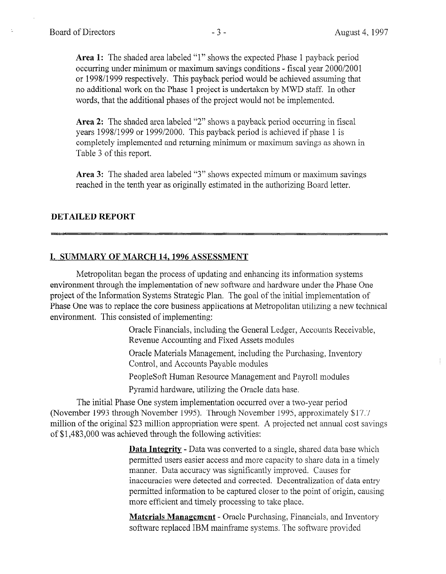$\frac{1}{4}$ 

Area 1: The shaded area labeled "1" shows the expected Phase 1 payback period occurring under minimum or maximum savings conditions - fiscal year 2000/2001 or 1998/1999 respectively. This payback period would be achieved assuming that no additional work on the Phase 1 project is undertaken by MWD staff. In other words, that the additional phases of the project would not be implemented.

Area 2: The shaded area labeled "2" shows a payback period occurring in fiscal years 1998/l 999 or 1999/2000. This payback period is achieved if phase 1 is completely implemented and returning minimum or maximum savings as shown in Table 3 of this report.

Area 3: The shaded area labeled "3" shows expected mimum or maximum savings reached in the tenth year as originally estimated in the authorizing Board letter.

## DETAILED REPORT

## I. SUMMARY OF MARCH 14.1996 ASSESSMENT

Metropolitan began the process of updating and enhancing its information systems environment through the implementation of new software and hardware under the Phase One project of the Information Systems Strategic Plan. The goal of the initial implementation of project of the information by stems buttegle f fail. The goal of the finitial implementation of r has one was to replace the core business ap Oracle Financials, including the General Ledger, Accounts Receivable,

Oracle Financials, moduling the Ocheral Leugel Revenue Accounting and Fixed Assets modules

Oracle Materials Management, including the Purchasing, Inventory Control, and Accounts Payable modules Pentre, and Here and Payroll modules

Propressive framid resource management and Pa

Pyramid hardware, utilizing the Oracle data base.

The initial Phase One system implementation occurred over a two-year period (November 1993 through November 1995). Through November 1995, approximately \$17.7 million of the original \$23 million appropriation were spent. A projected net annual cost savings of \$1,483,000 was achieved through the following activities: De to the sign integration of the second the single shared data base which is shared to a single shared data base which is the second of the second state of the second state of the second state of the second state of the s

> **Data Integrity - Data was converted to a single, shared data base which** permitted users easier access and more capacity to share data in a timely manner. Data accuracy was significantly improved. Causes for inaccuracies were detected and corrected. Decentralization of data entry permitted information to be captured closer to the point of origin, causing more efficient and timely processing to take place.

Materials Management - Oracle Purchasing, Financials, and Inventory software replaced IBM mainframe systems. The software provided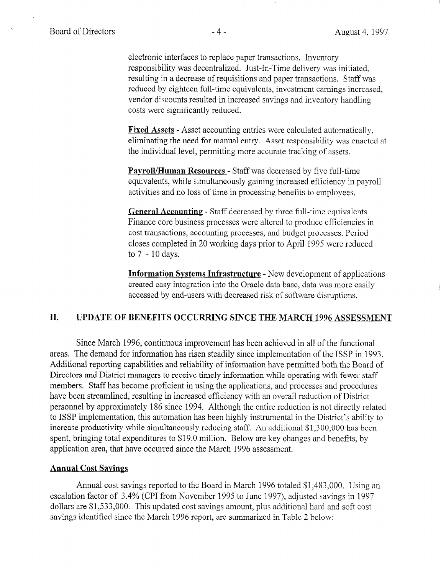electronic interfaces to replace paper transactions. Inventory responsibility was decentralized. Just-In-Time delivery was initiated, resulting in a decrease of requisitions and paper transactions. Staff was reduced by eighteen full-time equivalents, investment earnings increased, vendor discounts resulted in increased savings and inventory handling costs were significantly reduced.

Fixed Assets - Asset accounting entries were calculated automatically, eliminating the need for manual entry. Asset responsibility was enacted at the individual level, permitting more accurate tracking of assets.

**Payroll/Human Resources** - Staff was decreased by five full-time equivalents, while simultaneously gaining increased efficiency in payroll activities and no loss of time in processing benefits to employees.

General Accounting - Staff decreased by three full-time equivalents. Finance core business processes were altered to produce efficiencies in cost transactions, accounting processes, and budget processes. Period closes completed in 20 working days prior to April 1995 were reduced to7 - lOdays.

Information Systems Infrastructure - New development of applications <u>core integration experiment and the Oracle</u> data base integration in the Oracle data base, data was more easily created easy integration mit the Oracle data base, data was more

## II. UPDATE OF BENEFITS OCCURRING SINCE THE MARCH 1996 ASSESSMENT

Since March 1996, continuous improvement has been achieved in all of the functional ance watch 1990, continuous improvement has been achieved in all of the functional areas. The demand for information has risen steadily since implementation of the ISSP in 1993. Additional reporting capabilities and reliability of information have permitted both the Board of Directors and District managers to receive timely information while operating with fewer staff members. Staff has become proficient in using the applications, and processes and procedures have been streamlined, resulting in increased efficiency with an overall reduction of District personnel by approximately 186 since 1994. Although the entire reduction is not directly related to ISSP implementation, this automation has been highly instrumental in the District's ability to increase productivity while simultaneously reducing staff. An additional \$1,300,000 has been spent, bringing total expenditures to \$19.0 million. Below are key changes and benefits, by application area, that have occurred since the March 1996 assessment.

#### **Annual Cost Savings**  $A$ mrual cost savings reported to the Board in  $M$

Annual cost savings reported to the Board in March 1996 totaled \$1,483,000. Using an escalation factor of 3.4% (CPI from November 1995 to June 1997), adjusted savings in 1997 dollars are  $$1,533,000$ . This updated cost savings amount, plus additional hard and soft cost savings identified since the March 1996 report, are summarized in Table 2 below: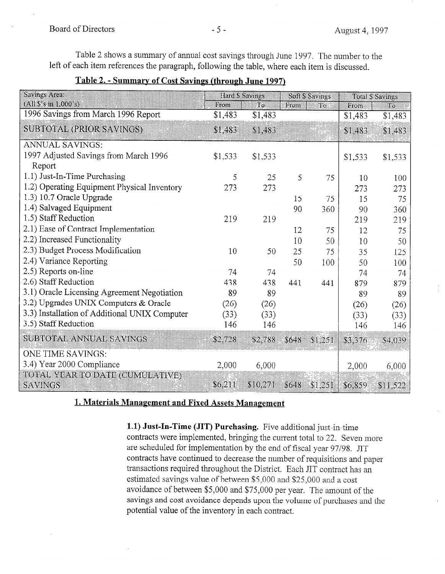Table 2 shows a summary of annual cost savings through June 1997. The number to the left of each item references the paragraph, following the table, where each item is discussed.

Table 2. - Summary of Cost Savings (through June 1997)

| Savings Area.                                     | Hard \$ Savings |          | Soft S Savings |           | <b>Total S Savings</b> |          |
|---------------------------------------------------|-----------------|----------|----------------|-----------|------------------------|----------|
| $(A)$ 18's in 1,000's)                            | From            | Ťο       | From           | $\Box$ To | From                   | Ιoι      |
| 1996 Savings from March 1996 Report               | \$1,483         | \$1,483  |                |           | \$1,483                | \$1,483  |
| SUBTOTAL (PRIOR SAVINGS)                          | \$1,483         | \$1.483  |                |           | \$1.483                | \$1,483  |
| <b>ANNUAL SAVINGS:</b>                            |                 |          |                |           |                        |          |
| 1997 Adjusted Savings from March 1996             | \$1,533         | \$1,533  |                |           | \$1,533                | \$1,533  |
| Report                                            |                 |          |                |           |                        |          |
| 1.1) Just-In-Time Purchasing                      | 5               | 25       | 5              | 75        | 10                     | 100      |
| 1.2) Operating Equipment Physical Inventory       | 273             | 273      |                |           | 273                    | 273      |
| 1.3) 10.7 Oracle Upgrade                          |                 |          | 15             | 75        | 15                     | 75       |
| 1.4) Salvaged Equipment                           |                 |          | 90             | 360       | 90                     | 360      |
| 1.5) Staff Reduction                              | 219             | 219      |                |           | 219                    | 219      |
| 2.1) Ease of Contract Implementation              |                 |          | 12             | 75        | 12                     | 75       |
| 2.2) Increased Functionality                      |                 |          | 10             | 50        | 10                     | 50       |
| 2.3) Budget Process Modification                  | 10              | 50       | 25             | 75        | 35                     | 125      |
| 2.4) Variance Reporting                           |                 |          | 50             | 100       | 50                     | 100      |
| 2.5) Reports on-line                              | 74              | 74       |                |           | 74                     | 74       |
| 2.6) Staff Reduction                              | 438             | 438      | 441            | 441       | 879                    | 879      |
| 3.1) Oracle Licensing Agreement Negotiation       | 89              | 89       |                |           | 89                     | 89       |
| 3.2) Upgrades UNIX Computers & Oracle             | (26)            | (26)     |                |           | (26)                   | (26)     |
| 3.3) Installation of Additional UNIX Computer     | (33)            | (33)     |                |           | (33)                   | (33)     |
| 3.5) Staff Reduction                              | 146             | 146      |                |           | 146                    | 146      |
| SUBTOTAL ANNUAL SAVINGS                           | \$2.728         | \$2,788  | \$648          | \$1.251   | \$3,376                | \$4.039  |
| ONE TIME SAVINGS:                                 |                 |          |                |           |                        |          |
| 3.4) Year 2000 Compliance                         | 2,000           | 6,000    |                |           | 2,000                  | 6,000    |
| TOTAL YEAR TO DATE (CUMULATIVE)<br><b>SAVINGS</b> | \$6.211         | \$10,271 | \$648          | \$1,251   | \$6,859                | \$11.522 |

1. Materials Management and Fixed Assets Management

1.1) Just-In-Time (JIT) Purchasing. Five additional just-in-time contracts were implemented, bringing the current total to 22. Seven more are scheduled for implementation by the end of fiscal year 97/98. JIT contracts have continued to decrease the number of requisitions and paper transactions required throughout the District. Each JIT contract has an estimated savings value of between \$5,000 and \$25,000 and a cost avoidance of between \$5,000 and \$75,000 per year. The amount of the savings and cost avoidance depends upon the volume of purchases and the potential value of the inventory in each contract.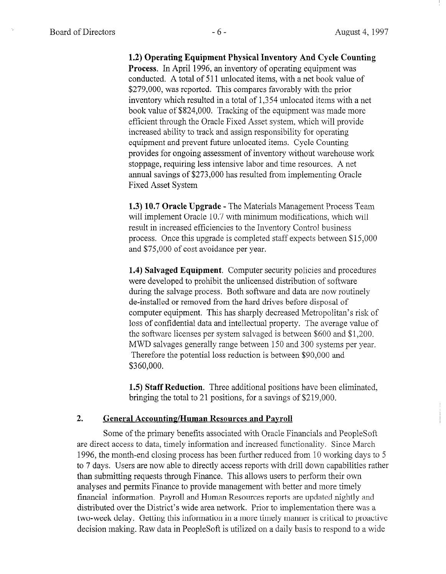1.2) Operating Equipment Physical Inventory And Cycle Counting Process. In April 1996, an inventory of operating equipment was conducted. A total of 5 11 unlocated items, with a net book value of \$279,000, was reported. This compares favorably with the prior inventory which resulted in a total of 1,354 unlocated items with a net book value of \$824,000. Tracking of the equipment was made more efficient through the Oracle Fixed Asset system, which will provide increased ability to track and assign responsibility for operating equipment and prevent future unlocated items. Cycle Counting provides for ongoing assessment of inventory without warehouse work stoppage, requiring less intensive labor and time resources. A net annual savings of \$273,000 has resulted from implementing Oracle Fixed Asset System

1.3) 10.7 Oracle Upgrade - The Materials Management Process Team will implement Oracle 10.7 with minimum modifications, which will result in increased efficiencies to the Inventory Control business process. Once this upgrade is completed staff expects between \$15,000 and \$75,000 of cost avoidance per year.

 $\overline{a}$ 1. We also to problems the unit the unit of some solution of some solution of some solution of some software so were developed to prohibit the unlicensed distribution of software during the salvage process. Both software and data are now routinely during the sarvage process. Dom software and data are now for computer equipment. This has sharply decreased Metropolitan's risk of the metropolitan's risk of the metropolitan's risk of the metropolitan's risk of the metropolitan's risk of the metropolitan's risk of the metropolitan' computer equipment. This has sharply decreased Metropolitan's risk of loss of confidential data and intellectual property. The average value of the software licenses per system salvaged is between \$600 and \$1,200. MWD salvages generally range between 150 and 300 systems per year. Therefore the potential loss reduction is between \$90,000 and \$360,000.

**1.5) stait Reduction**. Three additional positions have been

### **General Accounting/Human Resources and Payroll**

Some of the primary benefits associated with Oracle Financials and PeopleSoft are direct access to data, timely information and increased functionality. Since March 1996, the month-end closing process has been further reduced from 10 working days to 5 to 7 days. Users are now able to directly access reports with drill down capabilities rather than submitting requests through Finance. This allows users to perform their own analyses and permits Finance to provide management with better and more timely financial information. Payroll and Human Resources reports are updated nightly and distributed over the District's wide area network. Prior to implementation there was a two-week delay. Getting this information in a more timely manner is critical to proactive decision making. Raw data in PeopleSoft is utilized on a daily basis to respond to a wide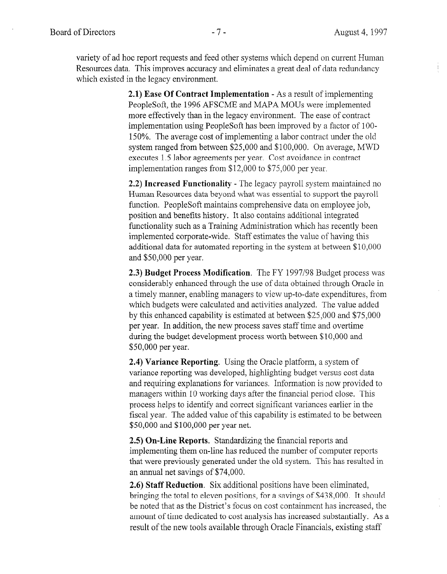variety of ad hoc report requests and feed other systems which depend on current Human Resources data. This improves accuracy and eliminates a great deal of data redundancy which existed in the legacy environment.

> 2.1) Ease Of Contract Implementation - As a result of implementing PeopleSoft, the 1996 AFSCME and MAPA MOUs were implemented more effectively than in the legacy environment. The ease of contract implementation using PeopleSoft has been improved by a factor of 1 OO-150%. The average cost of implementing a labor contract under the old system ranged from between \$25,000 and \$100,000. On average, MWD executes 1.5 labor agreements per year. Cost avoidance in contract implementation ranges from \$12,000 to \$75,000 per year.

> 2.2) Increased Functionality - The legacy payroll system maintained no Human Resources data beyond what was essential to support the payroll function. PeopleSoft maintains comprehensive data on employee job, position and benefits history. It also contains additional integrated functionality such as a Training Administration which has recently been implemented corporate-wide. Staff estimates the value of having this additional data for automated reporting in the system at between \$10,000 and \$50,000 per year.

2.3) Budget Process Modification. The FY 1997/98 Budget process was considerably enhanced through the use of data obtained the use of data obtained the use of data obtained through Oracle in  $\alpha$ consideratif enhanced modern me ase of data columner military of activity ina timely manner, enabling managers to view up-to-date expenditures, from which budgets were calculated and activities analyzed. The value added by this enhanced capability is estimated at between \$25,000 and \$75,000 per year. In addition, the new process saves staff time and overtime during the budget development process worth between \$10,000 and \$50,000 per year.

 $2.4$ ) Variance Reporting. Using the Oracle platform, a system of  $\mathcal{L}$ **2.4) Variance Reporting.** Using the Oracle platform, a system of variance reporting was developed, highlighting budget versus cost data and requiring explanations for variances. Information is now provided to managers within 10 working days after the financial period close. This process helps to identify and correct significant variances earlier in the fiscal year. The added value of this capability is estimated to be between \$50,000 and \$100,000 per year net.  $2.5$ ) order and  $4.5$  operations. Standardizing the financial reports and  $\frac{1}{2}$ 

**2.5) On-Line Reports.** Standardizing the financial reports and implementing them on-line has reduced the number of computer reports. that were previously generated under the old system. This has resulted in an annual net savings of \$74,000.

2.6) Staff Reduction. Six additional positions have been eliminated, bringing the total to eleven positions, for a savings of \$438,000. It should be noted that as the District's focus on cost containment has increased, the amount of time dedicated to cost analysis has increased substantially. As a result of the new tools available through Oracle Financials, existing staff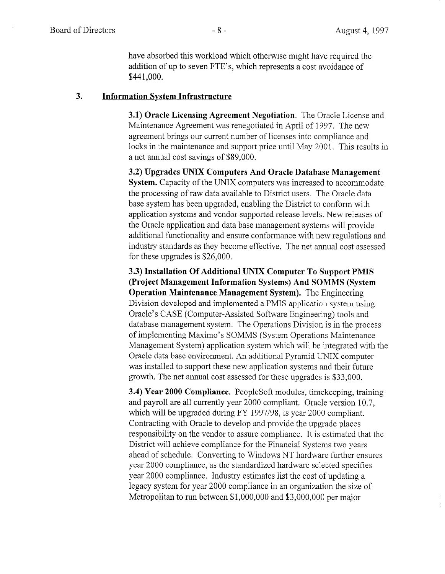have absorbed this workload which otherwise might have required the addition of up to seven FTE's, which represents a cost avoidance of \$441,000.

### 3. Information Svstem Infrastructure

3.1) Oracle Licensing Agreement Negotiation. The Oracle License and Maintenance Agreement was renegotiated in April of 1997. The new agreement brings our current number of licenses into compliance and locks in the maintenance and support price until May 2001. This results in a net annual cost savings of \$89,000.

3.2) Upgrades UNIX Computers And Oracle Database Management System. Capacity of the UNIX computers was increased to accommodate the processing of raw data available to District users. The Oracle data base system has been upgraded, enabling the District to conform with application systems and vendor supported release levels. New releases of the Oracle application and data base management systems will provide additional functionality and ensure conformance with new regulations and industry standards as they become effective. The net annual cost assessed for these upgrades is \$26,000.

3.3) Installation Of Additional UNIX Computer To Support PMIS (Project Management Information Systems) And SOMMS (System Operation Maintenance Management System). The Engineering Division developed and implemented a PMIS application system using Oracle's CASE (Computer-Assisted Software Engineering) tools and database management system. The Operations Division is in the process of implementing Maximo's SOMMS (System Operations Maintenance Management System) application system which will be integrated with the Oracle data base environment. An additional Pyramid UNIX computer was installed to support these new application systems and their future growth. The net annual cost assessed for these upgrades is \$33,000.

3.4) Year 2000 Compliance. PeopleSoft modules, timekeeping, training and payroll are all currently year 2000 compliant. Oracle version 10.7, which will be upgraded during FY 1997/98, is year 2000 compliant. Contracting with Oracle to develop and provide the upgrade places responsibility on the vendor to assure compliance. It is estimated that the District will achieve compliance for the Financial Systems two years ahead of schedule. Converting to Windows NT hardware further ensures year 2000 compliance, as the standardized hardware selected specifies year 2000 compliance. Industry estimates list the cost of updating a legacy system for year 2000 compliance in an organization the size of Metropolitan to run between \$l,OOO,OOO and \$3,000,000 per major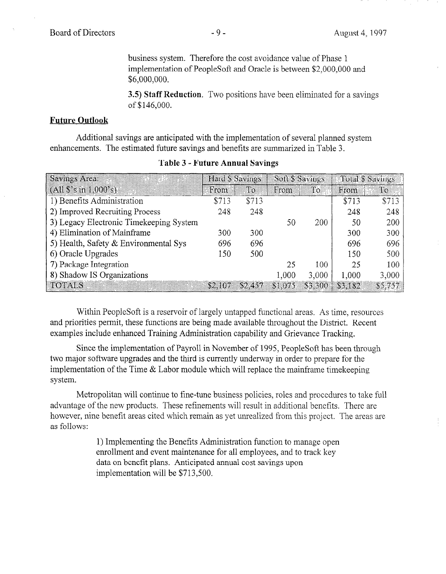business system. Therefore the cost avoidance value of Phase 1 implementation of PeopleSoft and Oracle is between \$2,000,000 and \$6,000,000.

3.5) Staff Reduction. Two positions have been eliminated for a savings of \$146,000.

## Future Outlook

Additional savings are anticipated with the implementation of several planned system enhancements. The estimated future savings and benefits are summarized in Table 3.

| Savings Area                            | Hard S Savings |         | Soft Savings |         | Total S Savings |         |
|-----------------------------------------|----------------|---------|--------------|---------|-----------------|---------|
| $(A11\;\$ \; s \; in \; 1.000 \; s)$    | From           | Tо      | From         | ில      | From            | Ιo.     |
| 1) Benefits Administration              | \$713          | \$713   |              |         | \$713           | \$713   |
| 2) Improved Recruiting Process          | 248            | 248     |              |         | 248             | 248     |
| 3) Legacy Electronic Timekeeping System |                |         | 50           | 200     | 50              | 200     |
| 4) Elimination of Mainframe             | 300            | 300     |              |         | 300             | 300     |
| 5) Health, Safety & Environmental Sys   | 696            | 696     |              |         | 696             | 696     |
| 6) Oracle Upgrades                      | 150            | 500     |              |         | 150             | 500     |
| 7) Package Integration                  |                |         | 25           | 100     | 25              | 100     |
| 8) Shadow IS Organizations              |                |         | 1,000        | 3,000   | 1,000           | 3,000   |
| $\overline{101\text{Als}}$              | 82.107         | \$2.457 | \$1,075      | \$3,300 | \$3.182         | \$5.757 |

### Table 3 - Future Annual Savings

With  $P$  resources is a resource of largely untapped functional areas,  $\frac{1}{2}$ which propressor is a reservoir of largery dinapped functional areas. As three, resource and priorities permit, these functions are being made available throughout the District. Recent examples include enhanced Training Administration capability and Grievance Tracking.

Since the implementation of Payroll in November of 1995, PeopleSoft has been through Since the implementation of Payron in November of 1993, PeopleSoft has been three two major software upgrades and the third is currently underway in order to prepare for the implementation of the Time  $\&$  Labor module which will replace the mainframe timekeeping system.

Metropolitan will continue to fine-tune business policies, roles and procedures to take full advantage of the new products. These refinements will result in additional benefits. There are however, nine benefit areas cited which remain as yet unrealized from this project. The areas are as follows:

> 1) Implementing the Benefits Administration function to manage open enrollment and event maintenance for all employees, and to track key data on benefit plans. Anticipated annual cost savings upon implementation will be \$713,500.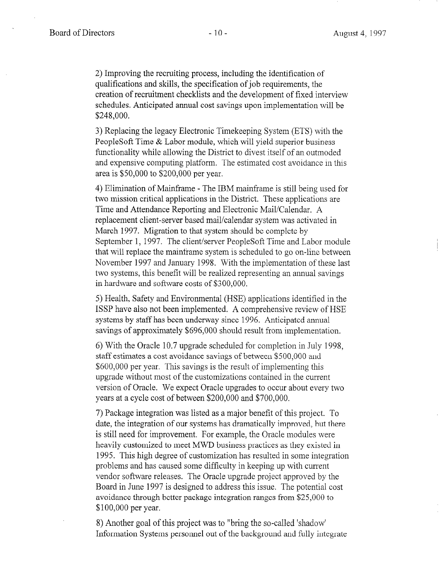2) Improving the recruiting process, including the identification of qualifications and skills, the specification of job requirements, the creation of recruitment checklists and the development of fixed interview schedules. Anticipated annual cost savings upon implementation will be \$248,000.

3) Replacing the legacy Electronic Timekeeping System (ETS) with the PeopleSoft Time & Labor module, which will yield superior business functionality while allowing the District to divest itself of an outmoded and expensive computing platform. The estimated cost avoidance in this area is \$50,000 to \$200,000 per year.

4) Elimination of Mainframe - The IBM mainframe is still being used for two mission critical applications in the District. These applications are Time and Attendance Reporting and Electronic Mail/Calendar. A replacement client-server based mail/calendar system was activated in March 1997. Migration to that system should be complete by September 1, 1997. The client/server PeopleSoft Time and Labor module that will replace the mainframe system is scheduled to go on-line between November 1997 and January 1998. With the implementation of these last two systems, this benefit will be realized representing an annual savings in hardware and software costs of \$300,000.

5) Health, Safety and Environmental (HSE) applications identified in the  $U$ <sup>1</sup> have also not been interested.  $U$  comprehensive review of  $U$  comprehensive review of  $U$ systems by statement of the systems by since 1996. And the 1996. And the 1996. And the 1996. And the 1996. And the 1996. And the 1996. And the 1996. And the 1996. And the 1996. And the 1996. And the 1996. And the 1996. And systems by staff has been underway since 1996. Anticipated annual savings of approximately \$696,000 should result from implementation.

 $\alpha$  with the Oracle 10.7 upgrade scheduled for completion in July 1998,  $\alpha$ of with the Oracle TO. Tupgrade scheduled for completion in Jury staff estimates a cost avoidance savings of between \$500,000 and  $$600,000$  per year. This savings is the result of implementing this upgrade without most of the customizations contained in the current version of Oracle. We expect Oracle upgrades to occur about every two years at a cycle cost of between \$200,000 and \$700,000. 7) Package integration was listed as a major benefit of this project. To

7) Package integration was listed as a major benefit of this project. To date, the integration of our systems has dramatically improved, but there is still need for improvement. For example, the Oracle modules were heavily customized to meet MWD business practices as they existed in 1995. This high degree of customization has resulted in some integration problems and has caused some difficulty in keeping up with current vendor software releases. The Oracle upgrade project approved by the Board in June 1997 is designed to address this issue. The potential cost avoidance through better package integration ranges from \$25,000 to  $\frac{1}{2}$ 

8) Another goal of this project was to "bring the so-called 'shadow" Information Systems personnel out of the background and fully integrate